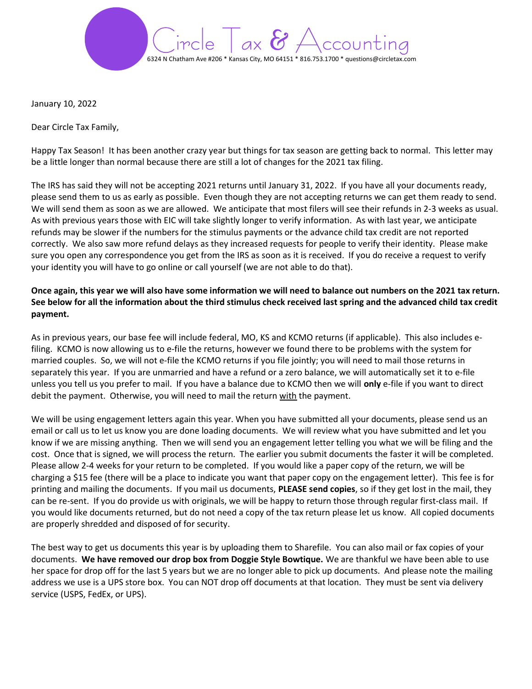

January 10, 2022

Dear Circle Tax Family,

Happy Tax Season! It has been another crazy year but things for tax season are getting back to normal. This letter may be a little longer than normal because there are still a lot of changes for the 2021 tax filing.

The IRS has said they will not be accepting 2021 returns until January 31, 2022. If you have all your documents ready, please send them to us as early as possible. Even though they are not accepting returns we can get them ready to send. We will send them as soon as we are allowed. We anticipate that most filers will see their refunds in 2-3 weeks as usual. As with previous years those with EIC will take slightly longer to verify information. As with last year, we anticipate refunds may be slower if the numbers for the stimulus payments or the advance child tax credit are not reported correctly. We also saw more refund delays as they increased requests for people to verify their identity. Please make sure you open any correspondence you get from the IRS as soon as it is received. If you do receive a request to verify your identity you will have to go online or call yourself (we are not able to do that).

## Once again, this year we will also have some information we will need to balance out numbers on the 2021 tax return. See below for all the information about the third stimulus check received last spring and the advanced child tax credit payment.

As in previous years, our base fee will include federal, MO, KS and KCMO returns (if applicable). This also includes efiling. KCMO is now allowing us to e-file the returns, however we found there to be problems with the system for married couples. So, we will not e-file the KCMO returns if you file jointly; you will need to mail those returns in separately this year. If you are unmarried and have a refund or a zero balance, we will automatically set it to e-file unless you tell us you prefer to mail. If you have a balance due to KCMO then we will only e-file if you want to direct debit the payment. Otherwise, you will need to mail the return with the payment.

We will be using engagement letters again this year. When you have submitted all your documents, please send us an email or call us to let us know you are done loading documents. We will review what you have submitted and let you know if we are missing anything. Then we will send you an engagement letter telling you what we will be filing and the cost. Once that is signed, we will process the return. The earlier you submit documents the faster it will be completed. Please allow 2-4 weeks for your return to be completed. If you would like a paper copy of the return, we will be charging a \$15 fee (there will be a place to indicate you want that paper copy on the engagement letter). This fee is for printing and mailing the documents. If you mail us documents, PLEASE send copies, so if they get lost in the mail, they can be re-sent. If you do provide us with originals, we will be happy to return those through regular first-class mail. If you would like documents returned, but do not need a copy of the tax return please let us know. All copied documents are properly shredded and disposed of for security.

The best way to get us documents this year is by uploading them to Sharefile. You can also mail or fax copies of your documents. We have removed our drop box from Doggie Style Bowtique. We are thankful we have been able to use her space for drop off for the last 5 years but we are no longer able to pick up documents. And please note the mailing address we use is a UPS store box. You can NOT drop off documents at that location. They must be sent via delivery service (USPS, FedEx, or UPS).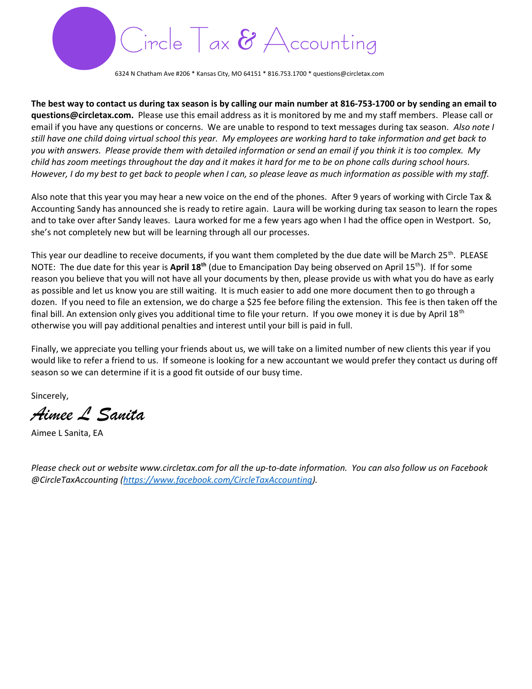

6324 N Chatham Ave #206 \* Kansas City, MO 64151 \* 816.753.1700 \* questions@circletax.com

The best way to contact us during tax season is by calling our main number at 816-753-1700 or by sending an email to questions@circletax.com. Please use this email address as it is monitored by me and my staff members. Please call or email if you have any questions or concerns. We are unable to respond to text messages during tax season. Also note I still have one child doing virtual school this year. My employees are working hard to take information and get back to you with answers. Please provide them with detailed information or send an email if you think it is too complex. My child has zoom meetings throughout the day and it makes it hard for me to be on phone calls during school hours. However, I do my best to get back to people when I can, so please leave as much information as possible with my staff.

Also note that this year you may hear a new voice on the end of the phones. After 9 years of working with Circle Tax & Accounting Sandy has announced she is ready to retire again. Laura will be working during tax season to learn the ropes and to take over after Sandy leaves. Laura worked for me a few years ago when I had the office open in Westport. So, she's not completely new but will be learning through all our processes.

This year our deadline to receive documents, if you want them completed by the due date will be March 25<sup>th</sup>. PLEASE NOTE: The due date for this year is April 18<sup>th</sup> (due to Emancipation Day being observed on April 15<sup>th</sup>). If for some reason you believe that you will not have all your documents by then, please provide us with what you do have as early as possible and let us know you are still waiting. It is much easier to add one more document then to go through a dozen. If you need to file an extension, we do charge a \$25 fee before filing the extension. This fee is then taken off the final bill. An extension only gives you additional time to file your return. If you owe money it is due by April  $18<sup>th</sup>$ otherwise you will pay additional penalties and interest until your bill is paid in full.

Finally, we appreciate you telling your friends about us, we will take on a limited number of new clients this year if you would like to refer a friend to us. If someone is looking for a new accountant we would prefer they contact us during off season so we can determine if it is a good fit outside of our busy time.

Sincerely,

Aimee L Sanita

Aimee L Sanita, EA

Please check out or website www.circletax.com for all the up-to-date information. You can also follow us on Facebook @CircleTaxAccounting (https://www.facebook.com/CircleTaxAccounting).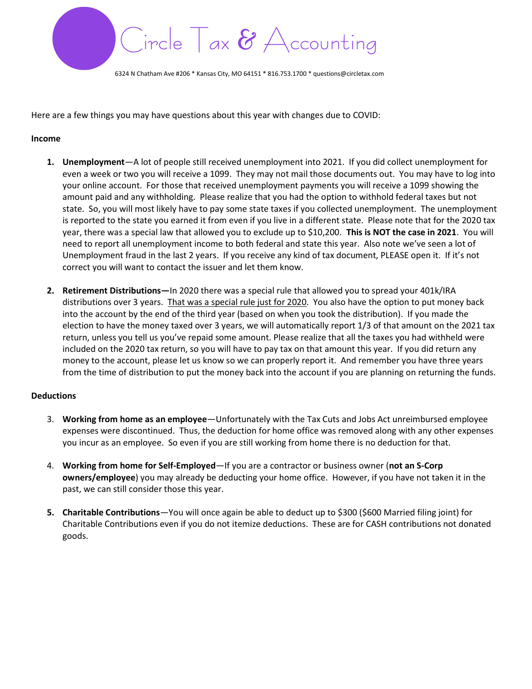

6324 N Chatham Ave #206 \* Kansas City, MO 64151 \* 816.753.1700 \* questions@circletax.com

Here are a few things you may have questions about this year with changes due to COVID:

#### Income

- 1. Unemployment—A lot of people still received unemployment into 2021. If you did collect unemployment for even a week or two you will receive a 1099. They may not mail those documents out. You may have to log into your online account. For those that received unemployment payments you will receive a 1099 showing the amount paid and any withholding. Please realize that you had the option to withhold federal taxes but not state. So, you will most likely have to pay some state taxes if you collected unemployment. The unemployment is reported to the state you earned it from even if you live in a different state. Please note that for the 2020 tax year, there was a special law that allowed you to exclude up to \$10,200. This is NOT the case in 2021. You will need to report all unemployment income to both federal and state this year. Also note we've seen a lot of Unemployment fraud in the last 2 years. If you receive any kind of tax document, PLEASE open it. If it's not correct you will want to contact the issuer and let them know.
- 2. Retirement Distributions—In 2020 there was a special rule that allowed you to spread your 401k/IRA distributions over 3 years. That was a special rule just for 2020. You also have the option to put money back into the account by the end of the third year (based on when you took the distribution). If you made the election to have the money taxed over 3 years, we will automatically report 1/3 of that amount on the 2021 tax return, unless you tell us you've repaid some amount. Please realize that all the taxes you had withheld were included on the 2020 tax return, so you will have to pay tax on that amount this year. If you did return any money to the account, please let us know so we can properly report it. And remember you have three years from the time of distribution to put the money back into the account if you are planning on returning the funds.

## **Deductions**

- 3. Working from home as an employee—Unfortunately with the Tax Cuts and Jobs Act unreimbursed employee expenses were discontinued. Thus, the deduction for home office was removed along with any other expenses you incur as an employee. So even if you are still working from home there is no deduction for that.
- 4. Working from home for Self-Employed—If you are a contractor or business owner (not an S-Corp owners/employee) you may already be deducting your home office. However, if you have not taken it in the past, we can still consider those this year.
- 5. Charitable Contributions—You will once again be able to deduct up to \$300 (\$600 Married filing joint) for Charitable Contributions even if you do not itemize deductions. These are for CASH contributions not donated goods.